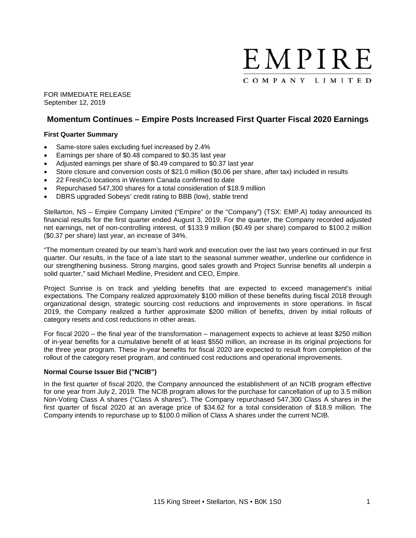

FOR IMMEDIATE RELEASE September 12, 2019

# **Momentum Continues – Empire Posts Increased First Quarter Fiscal 2020 Earnings**

# **First Quarter Summary**

- Same-store sales excluding fuel increased by 2.4%
- Earnings per share of \$0.48 compared to \$0.35 last year
- Adjusted earnings per share of \$0.49 compared to \$0.37 last year
- Store closure and conversion costs of \$21.0 million (\$0.06 per share, after tax) included in results
- 22 FreshCo locations in Western Canada confirmed to date
- Repurchased 547,300 shares for a total consideration of \$18.9 million
- DBRS upgraded Sobeys' credit rating to BBB (low), stable trend

Stellarton, NS – Empire Company Limited ("Empire" or the "Company") (TSX: EMP.A) today announced its financial results for the first quarter ended August 3, 2019. For the quarter, the Company recorded adjusted net earnings, net of non-controlling interest, of \$133.9 million (\$0.49 per share) compared to \$100.2 million (\$0.37 per share) last year, an increase of 34%.

"The momentum created by our team's hard work and execution over the last two years continued in our first quarter. Our results, in the face of a late start to the seasonal summer weather, underline our confidence in our strengthening business. Strong margins, good sales growth and Project Sunrise benefits all underpin a solid quarter," said Michael Medline, President and CEO, Empire.

Project Sunrise is on track and yielding benefits that are expected to exceed management's initial expectations. The Company realized approximately \$100 million of these benefits during fiscal 2018 through organizational design, strategic sourcing cost reductions and improvements in store operations. In fiscal 2019, the Company realized a further approximate \$200 million of benefits, driven by initial rollouts of category resets and cost reductions in other areas.

For fiscal 2020 – the final year of the transformation – management expects to achieve at least \$250 million of in-year benefits for a cumulative benefit of at least \$550 million, an increase in its original projections for the three year program. These in-year benefits for fiscal 2020 are expected to result from completion of the rollout of the category reset program, and continued cost reductions and operational improvements.

## **Normal Course Issuer Bid ("NCIB")**

In the first quarter of fiscal 2020, the Company announced the establishment of an NCIB program effective for one year from July 2, 2019. The NCIB program allows for the purchase for cancellation of up to 3.5 million Non-Voting Class A shares ("Class A shares"). The Company repurchased 547,300 Class A shares in the first quarter of fiscal 2020 at an average price of \$34.62 for a total consideration of \$18.9 million. The Company intends to repurchase up to \$100.0 million of Class A shares under the current NCIB.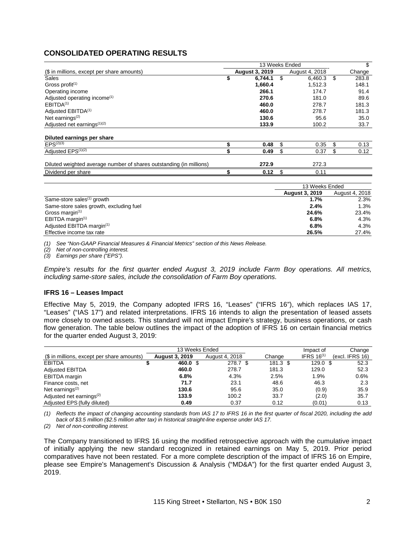# **CONSOLIDATED OPERATING RESULTS**

|                                                                     |    | \$                    |                       |                |
|---------------------------------------------------------------------|----|-----------------------|-----------------------|----------------|
| (\$ in millions, except per share amounts)                          |    | <b>August 3, 2019</b> | August 4, 2018        | Change         |
| <b>Sales</b>                                                        | \$ | 6,744.1               | \$<br>6,460.3         | \$<br>283.8    |
| Gross profit $(1)$                                                  |    | 1,660.4               | 1,512.3               | 148.1          |
| Operating income                                                    |    | 266.1                 | 174.7                 | 91.4           |
| Adjusted operating income <sup>(1)</sup>                            |    | 270.6                 | 181.0                 | 89.6           |
| EBITDA <sup>(1)</sup>                                               |    | 460.0                 | 278.7                 | 181.3          |
| Adjusted EBITDA <sup>(1)</sup>                                      |    | 460.0                 | 278.7                 | 181.3          |
| Net earnings $(2)$                                                  |    | 130.6                 | 95.6                  | 35.0           |
| Adjusted net earnings <sup>(1)(2)</sup>                             |    | 133.9                 | 100.2                 | 33.7           |
|                                                                     |    |                       |                       |                |
| Diluted earnings per share                                          |    |                       |                       |                |
| $EPS^{(2)(3)}$                                                      |    | 0.48                  | \$<br>0.35            | \$<br>0.13     |
| Adjusted EPS <sup>(1)(2)</sup>                                      |    | 0.49                  | \$<br>0.37            | \$<br>0.12     |
| Diluted weighted average number of shares outstanding (in millions) |    | 272.9                 | 272.3                 |                |
| Dividend per share                                                  |    | 0.12                  | \$<br>0.11            |                |
|                                                                     |    |                       | 13 Weeks Ended        |                |
|                                                                     |    |                       | <b>August 3, 2019</b> | August 4, 2018 |
| Same-store sales <sup>(1)</sup> growth                              |    |                       | 1.7%                  | 2.3%           |

|                                         | August 3, 2019 | August 4, 2018 |
|-----------------------------------------|----------------|----------------|
| Same-store sales <sup>(1)</sup> growth  | 1.7%           | 2.3%           |
| Same-store sales growth, excluding fuel | 2.4%           | 1.3%           |
| Gross margin $(1)$                      | 24.6%          | 23.4%          |
| EBITDA margin <sup>(1)</sup>            | 6.8%           | 4.3%           |
| Adjusted EBITDA margin <sup>(1)</sup>   | 6.8%           | 4.3%           |
| Effective income tax rate               | 26.5%          | 27.4%          |

*(1) See "Non-GAAP Financial Measures & Financial Metrics" section of this News Release.*

*(2) Net of non-controlling interest.*

*(3) Earnings per share ("EPS").*

*Empire's results for the first quarter ended August 3, 2019 include Farm Boy operations. All metrics, including same-store sales, include the consolidation of Farm Boy operations.*

#### **IFRS 16 – Leases Impact**

Effective May 5, 2019, the Company adopted IFRS 16, "Leases" ("IFRS 16"), which replaces IAS 17, "Leases" ("IAS 17") and related interpretations. IFRS 16 intends to align the presentation of leased assets more closely to owned assets. This standard will not impact Empire's strategy, business operations, or cash flow generation. The table below outlines the impact of the adoption of IFRS 16 on certain financial metrics for the quarter ended August 3, 2019:

|                                            |                       | Impact of      | Change |          |                 |                 |
|--------------------------------------------|-----------------------|----------------|--------|----------|-----------------|-----------------|
| (\$ in millions, except per share amounts) | <b>August 3, 2019</b> | August 4, 2018 |        | Change   | IFRS $16^{(1)}$ | (excl. IFRS 16) |
| <b>EBITDA</b>                              | 460.0 \$              | 278.7 \$       |        | 181.3 \$ | $129.0$ \$      | 52.3            |
| <b>Adjusted EBITDA</b>                     | 460.0                 | 278.7          |        | 181.3    | 129.0           | 52.3            |
| EBITDA margin                              | 6.8%                  | 4.3%           |        | 2.5%     | 1.9%            | 0.6%            |
| Finance costs, net                         | 71.7                  | 23.1           |        | 48.6     | 46.3            | 2.3             |
| Net earnings $(2)$                         | 130.6                 | 95.6           |        | 35.0     | (0.9)           | 35.9            |
| Adjusted net earnings <sup>(2)</sup>       | 133.9                 | 100.2          |        | 33.7     | (2.0)           | 35.7            |
| Adjusted EPS (fully diluted)               | 0.49                  | 0.37           |        | 0.12     | (0.01)          | 0.13            |

(1) Reflects the impact of changing accounting standards from IAS 17 to IFRS 16 in the first quarter of fiscal 2020, including the add *back of \$3.5 million (\$2.5 million after tax) in historical straight-line expense under IAS 17.*

*(2) Net of non-controlling interest.*

The Company transitioned to IFRS 16 using the modified retrospective approach with the cumulative impact of initially applying the new standard recognized in retained earnings on May 5, 2019. Prior period comparatives have not been restated. For a more complete description of the impact of IFRS 16 on Empire, please see Empire's Management's Discussion & Analysis ("MD&A") for the first quarter ended August 3, 2019.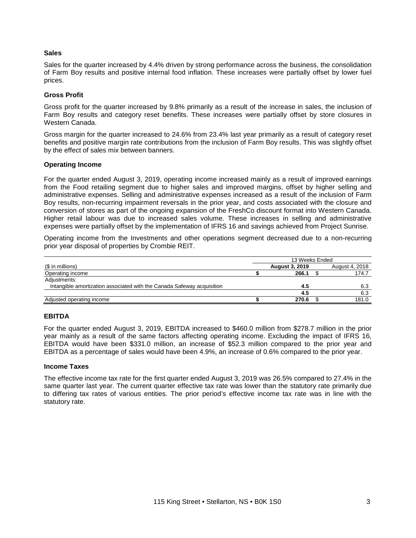## **Sales**

Sales for the quarter increased by 4.4% driven by strong performance across the business, the consolidation of Farm Boy results and positive internal food inflation. These increases were partially offset by lower fuel prices.

## **Gross Profit**

Gross profit for the quarter increased by 9.8% primarily as a result of the increase in sales, the inclusion of Farm Boy results and category reset benefits. These increases were partially offset by store closures in Western Canada.

Gross margin for the quarter increased to 24.6% from 23.4% last year primarily as a result of category reset benefits and positive margin rate contributions from the inclusion of Farm Boy results. This was slightly offset by the effect of sales mix between banners.

## **Operating Income**

For the quarter ended August 3, 2019, operating income increased mainly as a result of improved earnings from the Food retailing segment due to higher sales and improved margins, offset by higher selling and administrative expenses. Selling and administrative expenses increased as a result of the inclusion of Farm Boy results, non-recurring impairment reversals in the prior year, and costs associated with the closure and conversion of stores as part of the ongoing expansion of the FreshCo discount format into Western Canada. Higher retail labour was due to increased sales volume. These increases in selling and administrative expenses were partially offset by the implementation of IFRS 16 and savings achieved from Project Sunrise.

Operating income from the Investments and other operations segment decreased due to a non-recurring prior year disposal of properties by Crombie REIT.

|                                                                        | 13 Weeks Ended        |                |
|------------------------------------------------------------------------|-----------------------|----------------|
| (\$ in millions)                                                       | <b>August 3, 2019</b> | August 4, 2018 |
| Operating income                                                       | 266.1                 | 174.7          |
| Adjustments:                                                           |                       |                |
| Intangible amortization associated with the Canada Safeway acquisition | 4.5                   | 6.3            |
|                                                                        | 4.5                   | 6.3            |
| Adjusted operating income                                              | 270.6                 | 181.0          |

## **EBITDA**

For the quarter ended August 3, 2019, EBITDA increased to \$460.0 million from \$278.7 million in the prior year mainly as a result of the same factors affecting operating income. Excluding the impact of IFRS 16, EBITDA would have been \$331.0 million, an increase of \$52.3 million compared to the prior year and EBITDA as a percentage of sales would have been 4.9%, an increase of 0.6% compared to the prior year.

## **Income Taxes**

The effective income tax rate for the first quarter ended August 3, 2019 was 26.5% compared to 27.4% in the same quarter last year. The current quarter effective tax rate was lower than the statutory rate primarily due to differing tax rates of various entities. The prior period's effective income tax rate was in line with the statutory rate.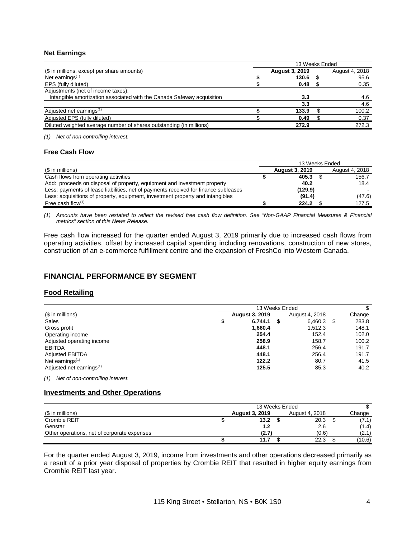# **Net Earnings**

|                                                                        | 13 Weeks Ended        |                |
|------------------------------------------------------------------------|-----------------------|----------------|
| (\$ in millions, except per share amounts)                             | <b>August 3, 2019</b> | August 4, 2018 |
| Net earnings $(1)$                                                     | 130.6                 | 95.6           |
| EPS (fully diluted)                                                    | 0.48                  | 0.35           |
| Adjustments (net of income taxes):                                     |                       |                |
| Intangible amortization associated with the Canada Safeway acquisition | 3.3                   | 4.6            |
|                                                                        | 3.3                   | 4.6            |
| Adjusted net earnings <sup>(1)</sup>                                   | 133.9                 | 100.2          |
| Adjusted EPS (fully diluted)                                           | 0.49                  | 0.37           |
| Diluted weighted average number of shares outstanding (in millions)    | 272.9                 | 272.3          |

*(1) Net of non-controlling interest.*

## **Free Cash Flow**

|                                                                                     | 13 Weeks Ended        |                |
|-------------------------------------------------------------------------------------|-----------------------|----------------|
| (\$ in millions)                                                                    | <b>August 3, 2019</b> | August 4, 2018 |
| Cash flows from operating activities                                                | 405.3                 | 156.7          |
| Add: proceeds on disposal of property, equipment and investment property            | 40.2                  | 18.4           |
| Less: payments of lease liabilities, net of payments received for finance subleases | (129.9)               |                |
| Less: acquisitions of property, equipment, investment property and intangibles      | (91.4)                | (47.6)         |
| Free cash flow $(1)$                                                                | 224.2                 | 127.5          |

(1) Amounts have been restated to reflect the revised free cash flow definition. See "Non-GAAP Financial Measures & Financial *metrics" section of this News Release.*

Free cash flow increased for the quarter ended August 3, 2019 primarily due to increased cash flows from operating activities, offset by increased capital spending including renovations, construction of new stores, construction of an e-commerce fulfillment centre and the expansion of FreshCo into Western Canada.

# **FINANCIAL PERFORMANCE BY SEGMENT**

## **Food Retailing**

|                                      | 13 Weeks Ended |                       |   |                |    |        |  |  |
|--------------------------------------|----------------|-----------------------|---|----------------|----|--------|--|--|
| (\$ in millions)                     |                | <b>August 3, 2019</b> |   | August 4, 2018 |    | Change |  |  |
| Sales                                |                | 6.744.1               | S | 6,460.3        | \$ | 283.8  |  |  |
| Gross profit                         |                | 1,660.4               |   | 1.512.3        |    | 148.1  |  |  |
| Operating income                     |                | 254.4                 |   | 152.4          |    | 102.0  |  |  |
| Adjusted operating income            |                | 258.9                 |   | 158.7          |    | 100.2  |  |  |
| <b>EBITDA</b>                        |                | 448.1                 |   | 256.4          |    | 191.7  |  |  |
| <b>Adjusted EBITDA</b>               |                | 448.1                 |   | 256.4          |    | 191.7  |  |  |
| Net earnings $(1)$                   |                | 122.2                 |   | 80.7           |    | 41.5   |  |  |
| Adjusted net earnings <sup>(1)</sup> |                | 125.5                 |   | 85.3           |    | 40.2   |  |  |

*(1) Net of non-controlling interest.*

# **Investments and Other Operations**

| (\$ in millions)                            |  | <b>August 3, 2019</b> | August 4, 2018 | Change |
|---------------------------------------------|--|-----------------------|----------------|--------|
| Crombie REIT                                |  | 13.2                  | 20.3           | (7.1)  |
| Genstar                                     |  |                       | 2.6            | (1.4)  |
| Other operations, net of corporate expenses |  | (2.7)                 | (0.6)          | (2.1)  |
|                                             |  | 11.7                  | 22.3           | (10.6) |

For the quarter ended August 3, 2019, income from investments and other operations decreased primarily as a result of a prior year disposal of properties by Crombie REIT that resulted in higher equity earnings from Crombie REIT last year.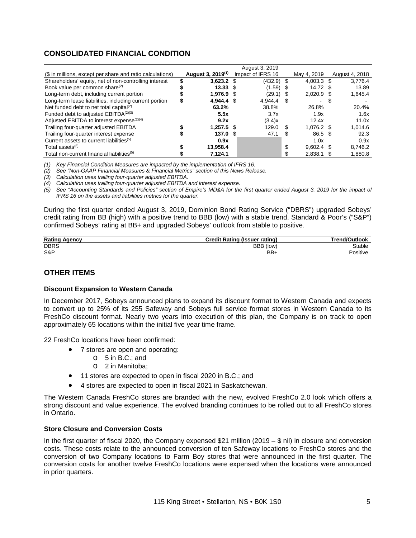# **CONSOLIDATED FINANCIAL CONDITION**

|                                                           |                               |      | August 3, 2019    |     |              |     |                |
|-----------------------------------------------------------|-------------------------------|------|-------------------|-----|--------------|-----|----------------|
| (\$ in millions, except per share and ratio calculations) | August 3, 2019 <sup>(1)</sup> |      | Impact of IFRS 16 |     | May 4, 2019  |     | August 4, 2018 |
| Shareholders' equity, net of non-controlling interest     | $3.623.2$ \$                  |      | $(432.9)$ \$      |     | $4.003.3$ \$ |     | 3,776.4        |
| Book value per common share <sup>(2)</sup>                | 13.33                         |      | (1.59)            |     | 14.72        | \$. | 13.89          |
| Long-term debt, including current portion                 | 1,976.9                       | - \$ | (29.1)            | - 5 | 2.020.9      | S.  | 1,645.4        |
| Long-term lease liabilities, including current portion    | 4.944.4                       |      | 4.944.4           | S   |              |     |                |
| Net funded debt to net total capital <sup>(2)</sup>       | 63.2%                         |      | 38.8%             |     | 26.8%        |     | 20.4%          |
| Funded debt to adjusted EBITDA <sup>(2)(3)</sup>          | 5.5x                          |      | 3.7x              |     | 1.9x         |     | 1.6x           |
| Adjusted EBITDA to interest expense <sup>(2)(4)</sup>     | 9.2x                          |      | (3.4)x            |     | 12.4x        |     | 11.0x          |
| Trailing four-quarter adjusted EBITDA                     | $1.257.5$ \$                  |      | 129.0             | S   | $1.076.2$ \$ |     | 1.014.6        |
| Trailing four-quarter interest expense                    | 137.0                         |      | 47.1              | S   | 86.5 \$      |     | 92.3           |
| Current assets to current liabilities <sup>(5)</sup>      | 0.9x                          |      |                   |     | 1.0x         |     | 0.9x           |
| Total assets <sup>(5)</sup>                               | 13.958.4                      |      |                   | \$  | $9.602.4$ \$ |     | 8,746.2        |
| Total non-current financial liabilities <sup>(5)</sup>    | 7,124.1                       |      |                   |     | 2,838.1      |     | 1,880.8        |

*(1) Key Financial Condition Measures are impacted by the implementation of IFRS 16.*

*(2) See "Non-GAAP Financial Measures & Financial Metrics" section of this News Release.*

*(3) Calculation uses trailing four-quarter adjusted EBITDA.*

*(4) Calculation uses trailing four-quarter adjusted EBITDA and interest expense.*

(5) See "Accounting Standards and Policies" section of Empire's MD&A for the first quarter ended August 3, 2019 for the impact of *IFRS 16 on the assets and liabilities metrics for the quarter.*

During the first quarter ended August 3, 2019, Dominion Bond Rating Service ("DBRS") upgraded Sobeys' credit rating from BB (high) with a positive trend to BBB (low) with a stable trend. Standard & Poor's ("S&P") confirmed Sobeys' rating at BB+ and upgraded Sobeys' outlook from stable to positive.

| <b>Rating Agency</b> | <b>Credit Rating (Issuer rating)</b> | <b>Trend/Outlook</b> |
|----------------------|--------------------------------------|----------------------|
| <b>DBRS</b>          | BBB (low)                            | Stable               |
| S&P                  | $BB+$                                | Positive             |

# **OTHER ITEMS**

## **Discount Expansion to Western Canada**

In December 2017, Sobeys announced plans to expand its discount format to Western Canada and expects to convert up to 25% of its 255 Safeway and Sobeys full service format stores in Western Canada to its FreshCo discount format. Nearly two years into execution of this plan, the Company is on track to open approximately 65 locations within the initial five year time frame.

22 FreshCo locations have been confirmed:

- 7 stores are open and operating:
	- o 5 in B.C.; and
	- o 2 in Manitoba;
- 11 stores are expected to open in fiscal 2020 in B.C.; and
- 4 stores are expected to open in fiscal 2021 in Saskatchewan.

The Western Canada FreshCo stores are branded with the new, evolved FreshCo 2.0 look which offers a strong discount and value experience. The evolved branding continues to be rolled out to all FreshCo stores in Ontario.

## **Store Closure and Conversion Costs**

In the first quarter of fiscal 2020, the Company expensed \$21 million (2019 – \$ nil) in closure and conversion costs. These costs relate to the announced conversion of ten Safeway locations to FreshCo stores and the conversion of two Company locations to Farm Boy stores that were announced in the first quarter. The conversion costs for another twelve FreshCo locations were expensed when the locations were announced in prior quarters.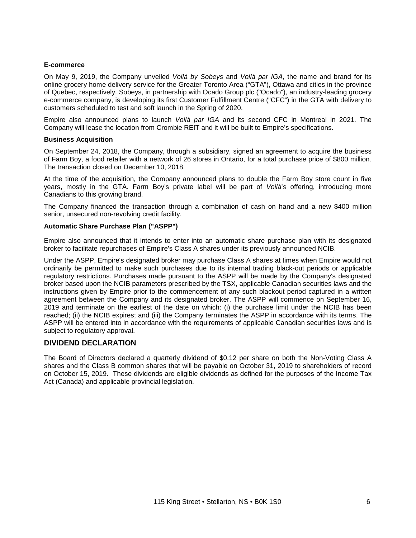## **E-commerce**

On May 9, 2019, the Company unveiled *Voilà by Sobeys* and *Voilà par IGA*, the name and brand for its online grocery home delivery service for the Greater Toronto Area ("GTA"), Ottawa and cities in the province of Quebec, respectively. Sobeys, in partnership with Ocado Group plc ("Ocado"), an industry-leading grocery e-commerce company, is developing its first Customer Fulfillment Centre ("CFC") in the GTA with delivery to customers scheduled to test and soft launch in the Spring of 2020.

Empire also announced plans to launch *Voilà par IGA* and its second CFC in Montreal in 2021. The Company will lease the location from Crombie REIT and it will be built to Empire's specifications.

#### **Business Acquisition**

On September 24, 2018, the Company, through a subsidiary, signed an agreement to acquire the business of Farm Boy, a food retailer with a network of 26 stores in Ontario, for a total purchase price of \$800 million. The transaction closed on December 10, 2018.

At the time of the acquisition, the Company announced plans to double the Farm Boy store count in five years, mostly in the GTA. Farm Boy's private label will be part of *Voilà*'*s* offering, introducing more Canadians to this growing brand.

The Company financed the transaction through a combination of cash on hand and a new \$400 million senior, unsecured non-revolving credit facility.

## **Automatic Share Purchase Plan ("ASPP")**

Empire also announced that it intends to enter into an automatic share purchase plan with its designated broker to facilitate repurchases of Empire's Class A shares under its previously announced NCIB.

Under the ASPP, Empire's designated broker may purchase Class A shares at times when Empire would not ordinarily be permitted to make such purchases due to its internal trading black-out periods or applicable regulatory restrictions. Purchases made pursuant to the ASPP will be made by the Company's designated broker based upon the NCIB parameters prescribed by the TSX, applicable Canadian securities laws and the instructions given by Empire prior to the commencement of any such blackout period captured in a written agreement between the Company and its designated broker. The ASPP will commence on September 16, 2019 and terminate on the earliest of the date on which: (i) the purchase limit under the NCIB has been reached; (ii) the NCIB expires; and (iii) the Company terminates the ASPP in accordance with its terms. The ASPP will be entered into in accordance with the requirements of applicable Canadian securities laws and is subject to regulatory approval.

# **DIVIDEND DECLARATION**

The Board of Directors declared a quarterly dividend of \$0.12 per share on both the Non-Voting Class A shares and the Class B common shares that will be payable on October 31, 2019 to shareholders of record on October 15, 2019. These dividends are eligible dividends as defined for the purposes of the Income Tax Act (Canada) and applicable provincial legislation.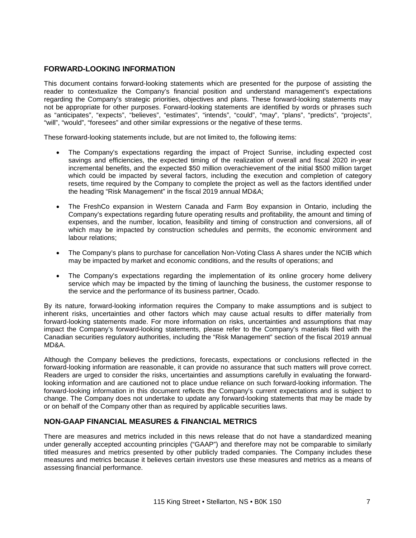# **FORWARD-LOOKING INFORMATION**

This document contains forward-looking statements which are presented for the purpose of assisting the reader to contextualize the Company's financial position and understand management's expectations regarding the Company's strategic priorities, objectives and plans. These forward-looking statements may not be appropriate for other purposes. Forward-looking statements are identified by words or phrases such as "anticipates", "expects", "believes", "estimates", "intends", "could", "may", "plans", "predicts", "projects", "will", "would", "foresees" and other similar expressions or the negative of these terms.

These forward-looking statements include, but are not limited to, the following items:

- The Company's expectations regarding the impact of Project Sunrise, including expected cost savings and efficiencies, the expected timing of the realization of overall and fiscal 2020 in-year incremental benefits, and the expected \$50 million overachievement of the initial \$500 million target which could be impacted by several factors, including the execution and completion of category resets, time required by the Company to complete the project as well as the factors identified under the heading "Risk Management" in the fiscal 2019 annual MD&A;
- The FreshCo expansion in Western Canada and Farm Boy expansion in Ontario, including the Company's expectations regarding future operating results and profitability, the amount and timing of expenses, and the number, location, feasibility and timing of construction and conversions, all of which may be impacted by construction schedules and permits, the economic environment and labour relations;
- The Company's plans to purchase for cancellation Non-Voting Class A shares under the NCIB which may be impacted by market and economic conditions, and the results of operations; and
- The Company's expectations regarding the implementation of its online grocery home delivery service which may be impacted by the timing of launching the business, the customer response to the service and the performance of its business partner, Ocado.

By its nature, forward-looking information requires the Company to make assumptions and is subject to inherent risks, uncertainties and other factors which may cause actual results to differ materially from forward-looking statements made. For more information on risks, uncertainties and assumptions that may impact the Company's forward-looking statements, please refer to the Company's materials filed with the Canadian securities regulatory authorities, including the "Risk Management" section of the fiscal 2019 annual MD&A.

Although the Company believes the predictions, forecasts, expectations or conclusions reflected in the forward-looking information are reasonable, it can provide no assurance that such matters will prove correct. Readers are urged to consider the risks, uncertainties and assumptions carefully in evaluating the forwardlooking information and are cautioned not to place undue reliance on such forward-looking information. The forward-looking information in this document reflects the Company's current expectations and is subject to change. The Company does not undertake to update any forward-looking statements that may be made by or on behalf of the Company other than as required by applicable securities laws.

# **NON-GAAP FINANCIAL MEASURES & FINANCIAL METRICS**

There are measures and metrics included in this news release that do not have a standardized meaning under generally accepted accounting principles ("GAAP") and therefore may not be comparable to similarly titled measures and metrics presented by other publicly traded companies. The Company includes these measures and metrics because it believes certain investors use these measures and metrics as a means of assessing financial performance.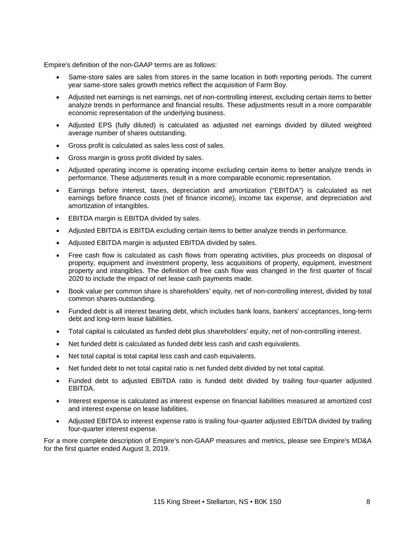Empire's definition of the non-GAAP terms are as follows:

- Same-store sales are sales from stores in the same location in both reporting periods. The current year same-store sales growth metrics reflect the acquisition of Farm Boy.
- Adjusted net earnings is net earnings, net of non-controlling interest, excluding certain items to better analyze trends in performance and financial results. These adjustments result in a more comparable economic representation of the underlying business.
- Adjusted EPS (fully diluted) is calculated as adjusted net earnings divided by diluted weighted average number of shares outstanding.
- Gross profit is calculated as sales less cost of sales.
- Gross margin is gross profit divided by sales.
- Adjusted operating income is operating income excluding certain items to better analyze trends in performance. These adjustments result in a more comparable economic representation.
- Earnings before interest, taxes, depreciation and amortization ("EBITDA") is calculated as net earnings before finance costs (net of finance income), income tax expense, and depreciation and amortization of intangibles.
- EBITDA margin is EBITDA divided by sales.
- Adjusted EBITDA is EBITDA excluding certain items to better analyze trends in performance.
- Adjusted EBITDA margin is adjusted EBITDA divided by sales.
- Free cash flow is calculated as cash flows from operating activities, plus proceeds on disposal of property, equipment and investment property, less acquisitions of property, equipment, investment property and intangibles. The definition of free cash flow was changed in the first quarter of fiscal 2020 to include the impact of net lease cash payments made.
- Book value per common share is shareholders' equity, net of non-controlling interest, divided by total common shares outstanding.
- Funded debt is all interest bearing debt, which includes bank loans, bankers' acceptances, long-term debt and long-term lease liabilities.
- Total capital is calculated as funded debt plus shareholders' equity, net of non-controlling interest.
- Net funded debt is calculated as funded debt less cash and cash equivalents.
- Net total capital is total capital less cash and cash equivalents.
- Net funded debt to net total capital ratio is net funded debt divided by net total capital.
- Funded debt to adjusted EBITDA ratio is funded debt divided by trailing four-quarter adjusted EBITDA.
- Interest expense is calculated as interest expense on financial liabilities measured at amortized cost and interest expense on lease liabilities.
- Adjusted EBITDA to interest expense ratio is trailing four-quarter adjusted EBITDA divided by trailing four-quarter interest expense.

For a more complete description of Empire's non-GAAP measures and metrics, please see Empire's MD&A for the first quarter ended August 3, 2019.